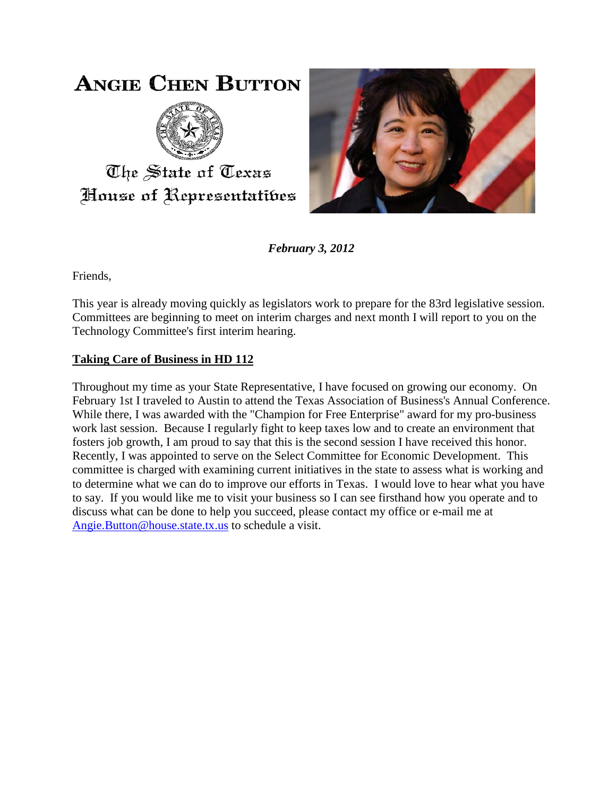## **ANGIE CHEN BUTTON**



The State of Texas House of Representatibes



*February 3, 2012*

Friends,

This year is already moving quickly as legislators work to prepare for the 83rd legislative session. Committees are beginning to meet on interim charges and next month I will report to you on the Technology Committee's first interim hearing.

## **Taking Care of Business in HD 112**

Throughout my time as your State Representative, I have focused on growing our economy. On February 1st I traveled to Austin to attend the Texas Association of Business's Annual Conference. While there, I was awarded with the "Champion for Free Enterprise" award for my pro-business work last session. Because I regularly fight to keep taxes low and to create an environment that fosters job growth, I am proud to say that this is the second session I have received this honor. Recently, I was appointed to serve on the Select Committee for Economic Development. This committee is charged with examining current initiatives in the state to assess what is working and to determine what we can do to improve our efforts in Texas. I would love to hear what you have to say. If you would like me to visit your business so I can see firsthand how you operate and to discuss what can be done to help you succeed, please contact my office or e-mail me at [Angie.Button@house.state.tx.us](mailto:Angie.Button@house.state.tx.us) to schedule a visit.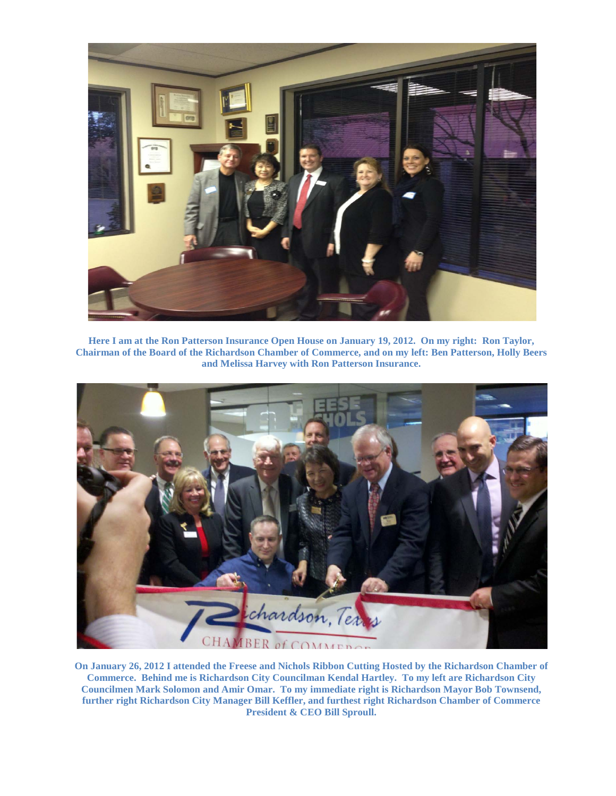

**Here I am at the Ron Patterson Insurance Open House on January 19, 2012. On my right: Ron Taylor, Chairman of the Board of the Richardson Chamber of Commerce, and on my left: Ben Patterson, Holly Beers and Melissa Harvey with Ron Patterson Insurance.**



**On January 26, 2012 I attended the Freese and Nichols Ribbon Cutting Hosted by the Richardson Chamber of Commerce. Behind me is Richardson City Councilman Kendal Hartley. To my left are Richardson City Councilmen Mark Solomon and Amir Omar. To my immediate right is Richardson Mayor Bob Townsend, further right Richardson City Manager Bill Keffler, and furthest right Richardson Chamber of Commerce President & CEO Bill Sproull.**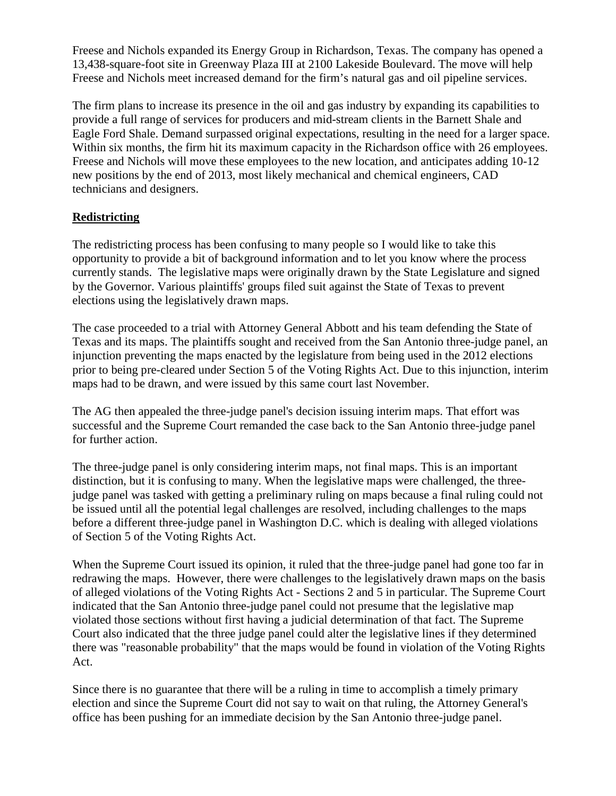Freese and Nichols expanded its Energy Group in Richardson, Texas. The company has opened a 13,438-square-foot site in Greenway Plaza III at 2100 Lakeside Boulevard. The move will help Freese and Nichols meet increased demand for the firm's natural gas and oil pipeline services.

The firm plans to increase its presence in the oil and gas industry by expanding its capabilities to provide a full range of services for producers and mid-stream clients in the Barnett Shale and Eagle Ford Shale. Demand surpassed original expectations, resulting in the need for a larger space. Within six months, the firm hit its maximum capacity in the Richardson office with 26 employees. Freese and Nichols will move these employees to the new location, and anticipates adding 10-12 new positions by the end of 2013, most likely mechanical and chemical engineers, CAD technicians and designers.

## **Redistricting**

The redistricting process has been confusing to many people so I would like to take this opportunity to provide a bit of background information and to let you know where the process currently stands. The legislative maps were originally drawn by the State Legislature and signed by the Governor. Various plaintiffs' groups filed suit against the State of Texas to prevent elections using the legislatively drawn maps.

The case proceeded to a trial with Attorney General Abbott and his team defending the State of Texas and its maps. The plaintiffs sought and received from the San Antonio three-judge panel, an injunction preventing the maps enacted by the legislature from being used in the 2012 elections prior to being pre-cleared under Section 5 of the Voting Rights Act. Due to this injunction, interim maps had to be drawn, and were issued by this same court last November.

The AG then appealed the three-judge panel's decision issuing interim maps. That effort was successful and the Supreme Court remanded the case back to the San Antonio three-judge panel for further action.

The three-judge panel is only considering interim maps, not final maps. This is an important distinction, but it is confusing to many. When the legislative maps were challenged, the threejudge panel was tasked with getting a preliminary ruling on maps because a final ruling could not be issued until all the potential legal challenges are resolved, including challenges to the maps before a different three-judge panel in Washington D.C. which is dealing with alleged violations of Section 5 of the Voting Rights Act.

When the Supreme Court issued its opinion, it ruled that the three-judge panel had gone too far in redrawing the maps. However, there were challenges to the legislatively drawn maps on the basis of alleged violations of the Voting Rights Act - Sections 2 and 5 in particular. The Supreme Court indicated that the San Antonio three-judge panel could not presume that the legislative map violated those sections without first having a judicial determination of that fact. The Supreme Court also indicated that the three judge panel could alter the legislative lines if they determined there was "reasonable probability" that the maps would be found in violation of the Voting Rights Act.

Since there is no guarantee that there will be a ruling in time to accomplish a timely primary election and since the Supreme Court did not say to wait on that ruling, the Attorney General's office has been pushing for an immediate decision by the San Antonio three-judge panel.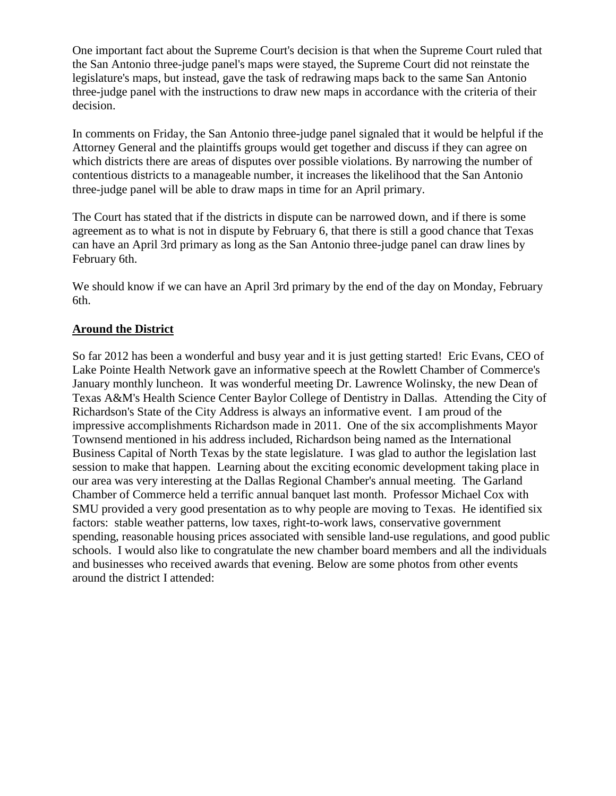One important fact about the Supreme Court's decision is that when the Supreme Court ruled that the San Antonio three-judge panel's maps were stayed, the Supreme Court did not reinstate the legislature's maps, but instead, gave the task of redrawing maps back to the same San Antonio three-judge panel with the instructions to draw new maps in accordance with the criteria of their decision.

In comments on Friday, the San Antonio three-judge panel signaled that it would be helpful if the Attorney General and the plaintiffs groups would get together and discuss if they can agree on which districts there are areas of disputes over possible violations. By narrowing the number of contentious districts to a manageable number, it increases the likelihood that the San Antonio three-judge panel will be able to draw maps in time for an April primary.

The Court has stated that if the districts in dispute can be narrowed down, and if there is some agreement as to what is not in dispute by February 6, that there is still a good chance that Texas can have an April 3rd primary as long as the San Antonio three-judge panel can draw lines by February 6th.

We should know if we can have an April 3rd primary by the end of the day on Monday, February 6th.

## **Around the District**

So far 2012 has been a wonderful and busy year and it is just getting started! Eric Evans, CEO of Lake Pointe Health Network gave an informative speech at the Rowlett Chamber of Commerce's January monthly luncheon. It was wonderful meeting Dr. Lawrence Wolinsky, the new Dean of Texas A&M's Health Science Center Baylor College of Dentistry in Dallas. Attending the City of Richardson's State of the City Address is always an informative event. I am proud of the impressive accomplishments Richardson made in 2011. One of the six accomplishments Mayor Townsend mentioned in his address included, Richardson being named as the International Business Capital of North Texas by the state legislature. I was glad to author the legislation last session to make that happen. Learning about the exciting economic development taking place in our area was very interesting at the Dallas Regional Chamber's annual meeting. The Garland Chamber of Commerce held a terrific annual banquet last month. Professor Michael Cox with SMU provided a very good presentation as to why people are moving to Texas. He identified six factors: stable weather patterns, low taxes, right-to-work laws, conservative government spending, reasonable housing prices associated with sensible land-use regulations, and good public schools. I would also like to congratulate the new chamber board members and all the individuals and businesses who received awards that evening. Below are some photos from other events around the district I attended: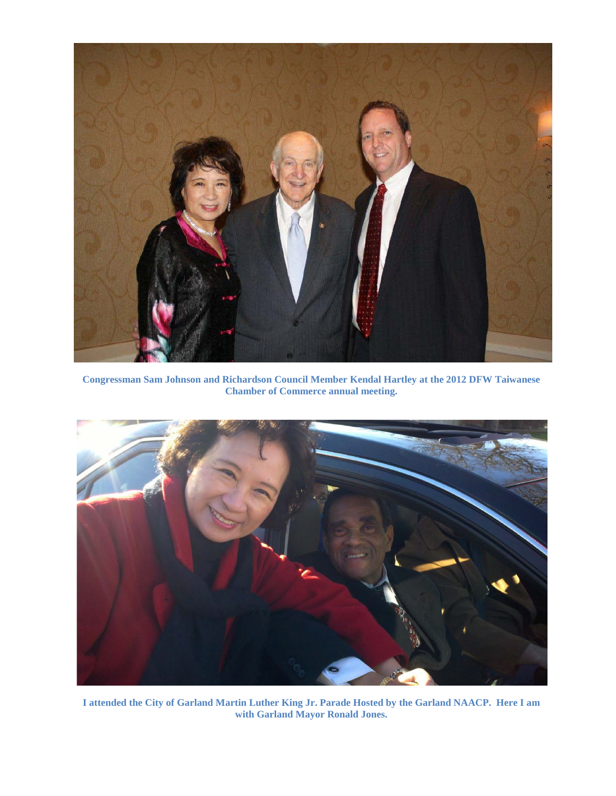

**Congressman Sam Johnson and Richardson Council Member Kendal Hartley at the 2012 DFW Taiwanese Chamber of Commerce annual meeting.**



**I attended the City of Garland Martin Luther King Jr. Parade Hosted by the Garland NAACP. Here I am with Garland Mayor Ronald Jones.**